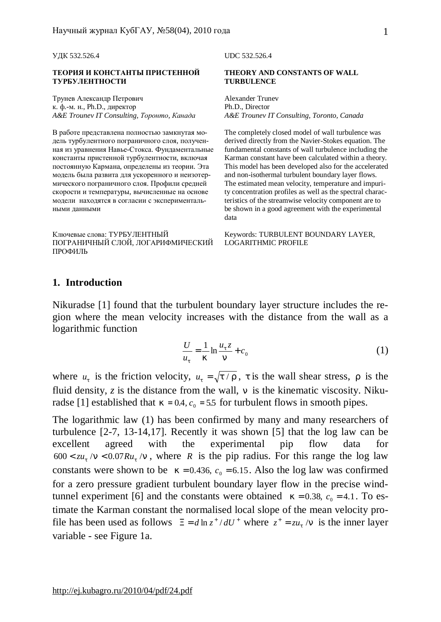#### **ТЕОРИЯ И КОНСТАНТЫ ПРИСТЕННОЙ ТУРБУЛЕНТНОСТИ**

Трунев Александр Петрович к. ф.-м. н., Ph.D., директор *A&E Trounev IT Consulting, Торонто, Канада A&E Trounev IT Consulting, Toronto, Canada* 

В работе представлена полностью замкнутая модель турбулентного пограничного слоя, полученная из уравнения Навье-Стокса. Фундаментальные константы пристенной турбулентности, включая постоянную Кармана, определены из теории. Эта модель была развита для ускоренного и неизотермического пограничного слоя. Профили средней скорости и температуры, вычисленные на основе модели находятся в согласии с экспериментальными данными

Ключевые слова: ТУРБУЛЕНТНЫЙ ПОГРАНИЧНЫЙ СЛОЙ, ЛОГАРИФМИЧЕСКИЙ ПРОФИЛЬ

#### УДК 532.526.4 UDC 532.526.4

#### **THEORY AND CONSTANTS OF WALL TURBULENCE**

Alexander Trunev Ph.D., Director

The completely closed model of wall turbulence was derived directly from the Navier-Stokes equation. The fundamental constants of wall turbulence including the Karman constant have been calculated within a theory. This model has been developed also for the accelerated and non-isothermal turbulent boundary layer flows. The estimated mean velocity, temperature and impurity concentration profiles as well as the spectral characteristics of the streamwise velocity component are to be shown in a good agreement with the experimental data

Keywords: TURBULENT BOUNDARY LAYER, LOGARITHMIC PROFILE

#### **1. Introduction**

Nikuradse [1] found that the turbulent boundary layer structure includes the region where the mean velocity increases with the distance from the wall as a logarithmic function

$$
\frac{U}{u_t} = \frac{1}{k} \ln \frac{u_t z}{n} + c_0 \tag{1}
$$

where  $u_t$  is the friction velocity,  $u_t = \sqrt{t/r}$ , *t* is the wall shear stress, *r* is the fluid density,  $z$  is the distance from the wall,  $n$  is the kinematic viscosity. Nikuradse [1] established that  $k = 0.4$ ,  $c_0 = 5.5$  for turbulent flows in smooth pipes.

The logarithmic law (1) has been confirmed by many and many researchers of turbulence [2-7, 13-14,17]. Recently it was shown [5] that the log law can be excellent agreed with the experimental pip flow data for  $600 < zu_t/n < 0.07Ru_t/n$ , where *R* is the pip radius. For this range the log law constants were shown to be  $k = 0.436$ ,  $c_0 = 6.15$ . Also the log law was confirmed for a zero pressure gradient turbulent boundary layer flow in the precise windtunnel experiment [6] and the constants were obtained  $k = 0.38$ ,  $c_0 = 4.1$ . To estimate the Karman constant the normalised local slope of the mean velocity profile has been used as follows  $\Xi = d \ln z^* / dU^*$  where  $z^* = zu_t / n$  is the inner layer variable - see Figure 1a.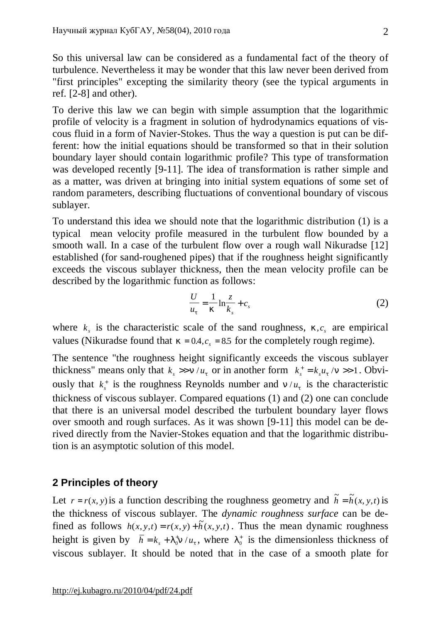So this universal law can be considered as a fundamental fact of the theory of turbulence. Nevertheless it may be wonder that this law never been derived from "first principles" excepting the similarity theory (see the typical arguments in ref. [2-8] and other).

To derive this law we can begin with simple assumption that the logarithmic profile of velocity is a fragment in solution of hydrodynamics equations of viscous fluid in a form of Navier-Stokes. Thus the way a question is put can be different: how the initial equations should be transformed so that in their solution boundary layer should contain logarithmic profile? This type of transformation was developed recently [9-11]. The idea of transformation is rather simple and as a matter, was driven at bringing into initial system equations of some set of random parameters, describing fluctuations of conventional boundary of viscous sublayer.

To understand this idea we should note that the logarithmic distribution (1) is a typical mean velocity profile measured in the turbulent flow bounded by a smooth wall. In a case of the turbulent flow over a rough wall Nikuradse [12] established (for sand-roughened pipes) that if the roughness height significantly exceeds the viscous sublayer thickness, then the mean velocity profile can be described by the logarithmic function as follows:

$$
\frac{U}{u_t} = \frac{1}{k} \ln \frac{z}{k_s} + c_s \tag{2}
$$

where  $k<sub>s</sub>$  is the characteristic scale of the sand roughness,  $k, c<sub>s</sub>$  are empirical values (Nikuradse found that  $k = 0.4$ ,  $c_s = 8.5$  for the completely rough regime).

The sentence "the roughness height significantly exceeds the viscous sublayer thickness" means only that  $k_s \gg n / u_t$  or in another form  $k_s^+ = k_s u_t / n \gg 1$ . Obviously that  $k_s^+$  is the roughness Reynolds number and  $n/u_t$  is the characteristic thickness of viscous sublayer. Compared equations (1) and (2) one can conclude that there is an universal model described the turbulent boundary layer flows over smooth and rough surfaces. As it was shown [9-11] this model can be derived directly from the Navier-Stokes equation and that the logarithmic distribution is an asymptotic solution of this model.

# **2 Principles of theory**

Let  $r = r(x, y)$  is a function describing the roughness geometry and  $\tilde{h} = \tilde{h}(x, y, t)$  is the thickness of viscous sublayer. The *dynamic roughness surface* can be defined as follows  $h(x, y, t) = r(x, y) + \tilde{h}(x, y, t)$ . Thus the mean dynamic roughness height is given by  $\bar{h} = k_s + l_0 \ln \frac{h}{u_t}$  $=k_s + l_0^+ n / u_t$ , where  $l_0^+$  is the dimensionless thickness of viscous sublayer. It should be noted that in the case of a smooth plate for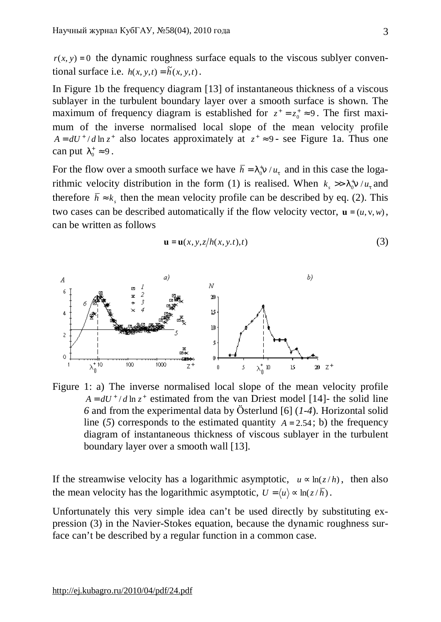$r(x, y) = 0$  the dynamic roughness surface equals to the viscous sublyer conventional surface i.e.  $h(x, y, t) = \tilde{h}(x, y, t)$ .

In Figure 1b the frequency diagram [13] of instantaneous thickness of a viscous sublayer in the turbulent boundary layer over a smooth surface is shown. The maximum of frequency diagram is established for  $z^+ = z_0^+ \approx 9$ . The first maximum of the inverse normalised local slope of the mean velocity profile  $A = dU^{\dagger} / d \ln z^{\dagger}$  also locates approximately at  $z^{\dagger} \approx 9$ - see Figure 1a. Thus one can put  $I_0^+ \approx 9$ .

For the flow over a smooth surface we have  $\bar{h} = I_0^{\dagger} n / u_t$  and in this case the logarithmic velocity distribution in the form (1) is realised. When  $k_s \gg l_0^+ n / u_t$  $>> I_0^* n / u_t$  and therefore  $\bar{h} \approx k_s$ , then the mean velocity profile can be described by eq. (2). This two cases can be described automatically if the flow velocity vector,  $\mathbf{u} = (u, v, w)$ , can be written as follows

$$
\mathbf{u} = \mathbf{u}(x, y, z/h(x, y, t), t)
$$
 (3)



Figure 1: a) The inverse normalised local slope of the mean velocity profile  $A = dU^{\dagger}/d \ln z^{\dagger}$  estimated from the van Driest model [14]- the solid line *6* and from the experimental data by Österlund [6] (*1-4*). Horizontal solid line (5) corresponds to the estimated quantity  $A = 2.54$ ; b) the frequency diagram of instantaneous thickness of viscous sublayer in the turbulent boundary layer over a smooth wall [13].

If the streamwise velocity has a logarithmic asymptotic,  $u \propto \ln(z/h)$ , then also the mean velocity has the logarithmic asymptotic,  $U = \langle u \rangle \propto \ln(z/\overline{h})$ .

Unfortunately this very simple idea can't be used directly by substituting expression (3) in the Navier-Stokes equation, because the dynamic roughness surface can't be described by a regular function in a common case.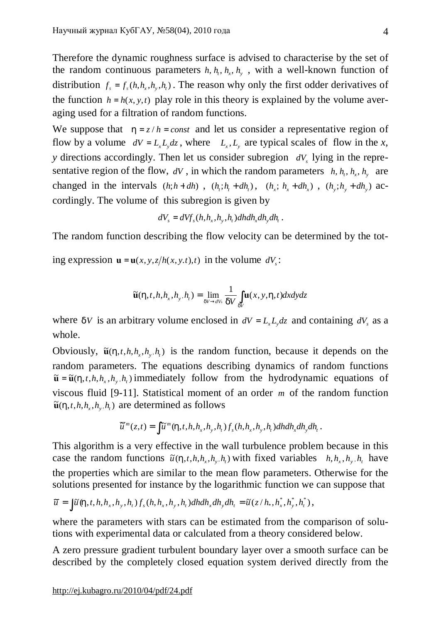Therefore the dynamic roughness surface is advised to characterise by the set of the random continuous parameters  $h$ ,  $h$ <sub>*,*</sub>,  $h$ <sub>*y*</sub>,  $h$ <sub>*y*</sub>, with a well-known function of distribution  $f_s = f_s(h, h_x, h_y, h_t)$ . The reason why only the first odder derivatives of the function  $h = h(x, y, t)$  play role in this theory is explained by the volume averaging used for a filtration of random functions.

We suppose that  $h = z/h = const$  and let us consider a representative region of flow by a volume  $dV = L_x L_y dz$ , where  $L_x, L_y$  are typical scales of flow in the *x*, *y* directions accordingly. Then let us consider subregion *dV<sup>s</sup>* lying in the representative region of the flow,  $dV$ , in which the random parameters  $h$ ,  $h_t$ ,  $h_x$ ,  $h_y$  are changed in the intervals  $(h; h + dh)$ ,  $(h_i; h_i + dh_i)$ ,  $(h_x; h_x + dh_x)$ ,  $(h_y; h_y + dh_y)$  accordingly. The volume of this subregion is given by

$$
dV_s = dVf_s(h, h_x, h_y, h_t)dhdh_xdh_ydh_t.
$$

The random function describing the flow velocity can be determined by the tot-

ing expression  $\mathbf{u} = \mathbf{u}(x, y, z/h(x, y, t), t)$  in the volume  $dV_s$ :

$$
\widetilde{\mathbf{u}}(h,t,h,h_x,h_y,h_t) = \lim_{dV \to dV_s} \frac{1}{dV} \int_{dV} \mathbf{u}(x,y,h,t) dx dy dz
$$

where *dV* is an arbitrary volume enclosed in  $dV = L_x L_y dz$  and containing  $dV_s$  as a whole.

Obviously,  $\tilde{\mathbf{u}}(h, t, h, h_x, h_y, h_t)$  is the random function, because it depends on the random parameters. The equations describing dynamics of random functions  $\tilde{\mathbf{u}} = \tilde{\mathbf{u}}(h, t, h, h_x, h_y, h_t)$  immediately follow from the hydrodynamic equations of viscous fluid [9-11]. Statistical moment of an order *m* of the random function  $\tilde{\mathbf{u}}(h, t, h, h, h, h, h, h)$  are determined as follows

$$
\overline{\widetilde{u}}^m(z,t)=\int \widetilde{u}^m(h,t,h,h_x,h_y,h_t)f_s(h,h_x,h_y,h_t)dhdh_xdh_ydh_t.
$$

This algorithm is a very effective in the wall turbulence problem because in this case the random functions  $\tilde{u}(h, t, h, h_x, h_y, h_t)$  with fixed variables  $h, h_x, h_y, h_t$  have the properties which are similar to the mean flow parameters. Otherwise for the solutions presented for instance by the logarithmic function we can suppose that

$$
\overline{\widetilde{u}} = \int \widetilde{u} \langle h, t, h, h_x, h_y, h_t \rangle f_s(h, h_x, h_y, h_t) dh dh_x dh_y dh_t = \widetilde{u} (z/h_*, h_x^*, h_y^*, h_t^*),
$$

where the parameters with stars can be estimated from the comparison of solutions with experimental data or calculated from a theory considered below.

A zero pressure gradient turbulent boundary layer over a smooth surface can be described by the completely closed equation system derived directly from the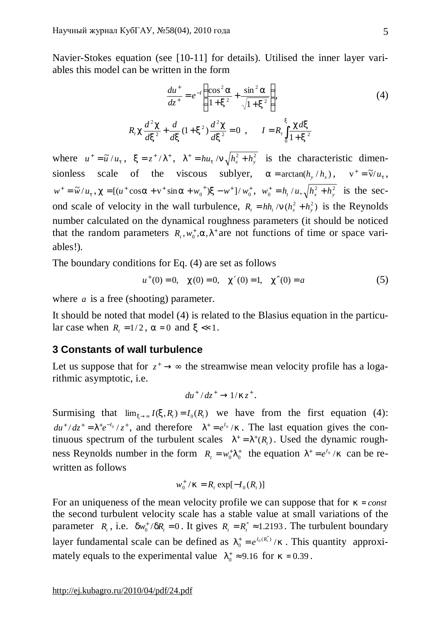Navier-Stokes equation (see [10-11] for details). Utilised the inner layer variables this model can be written in the form

$$
\frac{du^{+}}{dz^{+}} = e^{-1} \left( \frac{\cos^{2} a}{1 + x^{2}} + \frac{\sin^{2} a}{\sqrt{1 + x^{2}}} \right),
$$
\n(4)

$$
R_{t} c \frac{d^{2} c}{dx^{2}} + \frac{d}{dx} (1 + x^{2}) \frac{d^{2} c}{dx^{2}} = 0 , \qquad I = R_{t} \int_{0}^{x} \frac{c dx}{1 + x^{2}}
$$

where  $u^+ = \tilde{u}/u_t$ ,  $x = z^+ / I^+$ ,  $I^+ = hu_t / n \sqrt{h_x^2 + h_y^2}$  is the characteristic dimensionless scale of the viscous sublyer,  $a = \arctan(h_y/h_x)$ ,  $v^+ = \tilde{v}/u_t$ ,  $w^+ = \tilde{w}/u_t$ ,  $c = [(u^+ \cos a + v^+ \sin a + w_0^+)x - w^+]/w_0^+, w_0^+ = h_t/u_*\sqrt{h_x^2 + h_y^2}$  $w_0^+ = h_t / u_* \sqrt{h_x^2 + h_y^2}$  is the second scale of velocity in the wall turbulence,  $R_t = hh_t/n(h_x^2 + h_y^2)$  is the Reynolds number calculated on the dynamical roughness parameters (it should be noticed that the random parameters  $R_t$ ,  $w_0^+$ ,  $a$ ,  $I^+$  are not functions of time or space variables!).

The boundary conditions for Eq. (4) are set as follows

$$
u^+(0) = 0, \quad c(0) = 0, \quad c'(0) = 1, \quad c''(0) = a \tag{5}
$$

where *a* is a free (shooting) parameter.

It should be noted that model (4) is related to the Blasius equation in the particular case when  $R_t = 1/2$ ,  $a = 0$  and  $x \ll 1$ .

### **3 Constants of wall turbulence**

Let us suppose that for  $z^+ \rightarrow \infty$  the streamwise mean velocity profile has a logarithmic asymptotic, i.e.

$$
du^+ / dz^+ \rightarrow 1/kz^+.
$$

Surmising that  $\lim_{x \to \infty} I(x, R) = I_0(R)$  we have from the first equation (4):  $du^{+}/dz^{+} = I^{+}e^{-I_{0}}/z^{+}$ , and therefore  $I^{+} = e^{I_{0}}/k$ . The last equation gives the continuous spectrum of the turbulent scales  $I^+ = I^+(R_t)$ . Used the dynamic roughness Reynolds number in the form  $R_t = w_0^T I_0^+$  the equation  $I^+ = e^{I_0}/k$  can be rewritten as follows

$$
w_0^+ / k = R_t \exp[-I_0(R_t)]
$$

For an uniqueness of the mean velocity profile we can suppose that for  $k = const$ the second turbulent velocity scale has a stable value at small variations of the parameter  $R_t$ , i.e.  $dw_0^+ / dR_t = 0$ . It gives  $R_t = R_t^* \approx 1.2193$ . The turbulent boundary layer fundamental scale can be defined as  $I_0^+ = e^{I_0(R_t^*)}/k$ 0  $\sum_{k=0}^{N} e^{I_0(R_t^*)}/k$ . This quantity approximately equals to the experimental value  $I_0^* \approx 9.16$  for  $k = 0.39$ .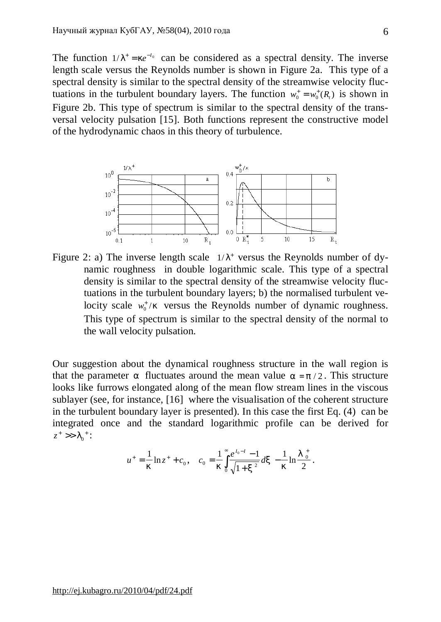The function  $1/I^+ = ke^{-t_0}$  can be considered as a spectral density. The inverse length scale versus the Reynolds number is shown in Figure 2a. This type of a spectral density is similar to the spectral density of the streamwise velocity fluctuations in the turbulent boundary layers. The function  $w_0^+ = w_0^+(R)$  is shown in Figure 2b. This type of spectrum is similar to the spectral density of the transversal velocity pulsation [15]. Both functions represent the constructive model of the hydrodynamic chaos in this theory of turbulence.

6



Figure 2: a) The inverse length scale  $1/I^+$  versus the Reynolds number of dynamic roughness in double logarithmic scale. This type of a spectral density is similar to the spectral density of the streamwise velocity fluctuations in the turbulent boundary layers; b) the normalised turbulent velocity scale  $w_0^+/k$  versus the Reynolds number of dynamic roughness. This type of spectrum is similar to the spectral density of the normal to the wall velocity pulsation.

Our suggestion about the dynamical roughness structure in the wall region is that the parameter *a* fluctuates around the mean value  $a = p/2$ . This structure looks like furrows elongated along of the mean flow stream lines in the viscous sublayer (see, for instance, [16] where the visualisation of the coherent structure in the turbulent boundary layer is presented). In this case the first Eq. (4) can be integrated once and the standard logarithmic profile can be derived for  $z^+$  >>  $I_0^+$ :

$$
u^{+} = \frac{1}{k} \ln z^{+} + c_{0}, \quad c_{0} = \frac{1}{k} \int_{0}^{\infty} \frac{e^{I_{0}-I} - 1}{\sqrt{1 + x^{2}}} dx - \frac{1}{k} \ln \frac{I_{0}^{+}}{2}.
$$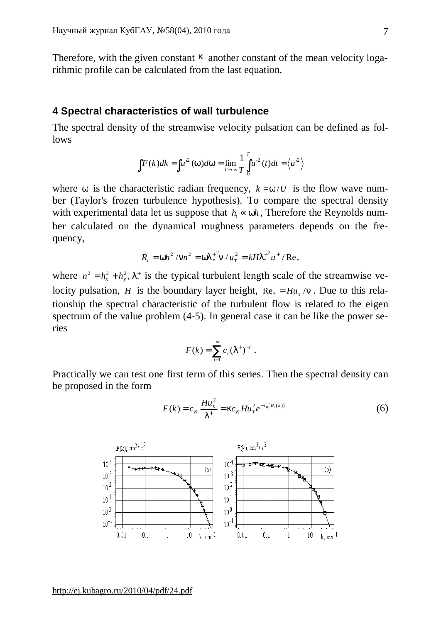Therefore, with the given constant *k* another constant of the mean velocity logarithmic profile can be calculated from the last equation.

### **4 Spectral characteristics of wall turbulence**

The spectral density of the streamwise velocity pulsation can be defined as follows

$$
\int F(k)dk = \int u'^2(w)dw = \lim_{T \to \infty} \frac{1}{T} \int_0^T u'^2(t)dt = \langle u'^2 \rangle
$$

where *w* is the characteristic radian frequency,  $k = w/U$  is the flow wave number (Taylor's frozen turbulence hypothesis). To compare the spectral density with experimental data let us suppose that  $h \propto wh$ , Therefore the Reynolds number calculated on the dynamical roughness parameters depends on the frequency,

$$
R_{t} = wh^{2} / nn^{2} = wI_{*}^{2}n / u_{t}^{2} = kHI_{*}^{2}u^{2} / \text{Re}_{*}
$$

where  $n^2 = h_x^2 + h_y^2$ ,  $I^*$  is the typical turbulent length scale of the streamwise velocity pulsation, *H* is the boundary layer height,  $Re_* = H u_t / n$ . Due to this relationship the spectral characteristic of the turbulent flow is related to the eigen spectrum of the value problem (4-5). In general case it can be like the power series

$$
F(k) = \sum_{i=1}^{\infty} c_i (I^+)^{-i} .
$$

Practically we can test one first term of this series. Then the spectral density can be proposed in the form

$$
F(k) = c_K \frac{H u_t^2}{I^+} = k c_K H u_t^2 e^{-I_0[R_t(k)]}
$$
 (6)

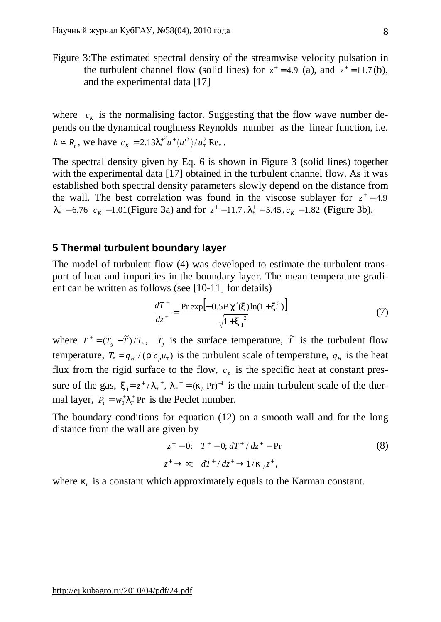Figure 3:The estimated spectral density of the streamwise velocity pulsation in the turbulent channel flow (solid lines) for  $z^+ = 4.9$  (a), and  $z^+ = 11.7$  (b), and the experimental data [17]

where  $c_K$  is the normalising factor. Suggesting that the flow wave number depends on the dynamical roughness Reynolds number as the linear function, i.e.  $k \propto R_t$ , we have  $c_K = 2.13 I_*^{2} u^+ \langle u'^2 \rangle / u_t^2 \text{ Re}_*$ .

The spectral density given by Eq. 6 is shown in Figure 3 (solid lines) together with the experimental data [17] obtained in the turbulent channel flow. As it was established both spectral density parameters slowly depend on the distance from the wall. The best correlation was found in the viscose sublayer for  $z^+=4.9$  $l_*^+ = 6.76$   $c_K = 1.01$  (Figure 3a) and for  $z^+ = 11.7$ ,  $l_*^+ = 5.45$ ,  $c_K = 1.82$  (Figure 3b).

## **5 Thermal turbulent boundary layer**

The model of turbulent flow (4) was developed to estimate the turbulent transport of heat and impurities in the boundary layer. The mean temperature gradient can be written as follows (see [10-11] for details)

$$
\frac{dT^{+}}{dz^{+}} = \frac{\Pr \exp[-0.5P_{t}c'(x)\ln(1+x_{1}^{2})]}{\sqrt{1+x_{1}^{2}}}
$$
(7)

where  $T^+ = (T_g - \tilde{T})/T_*$ ,  $T_g$  is the surface temperature,  $\tilde{T}$  is the turbulent flow temperature,  $T_* = q_H / (r c_p u_t)$  is the turbulent scale of temperature,  $q_H$  is the heat flux from the rigid surface to the flow,  $c_p$  is the specific heat at constant pressure of the gas,  $x_1 = z^2 / I_T^*$ ,  $x_1 = z^* / I_T^*$ ,  $I_T^* = (k_h \text{Pr})^{-1}$  is the main turbulent scale of the thermal layer,  $P_t = w_0^T I_T^+$  Pr is the Peclet number.

The boundary conditions for equation (12) on a smooth wall and for the long distance from the wall are given by

$$
z^{+} = 0: \tT^{+} = 0; dT^{+} / dz^{+} = \text{Pr}
$$
  
\n
$$
z^{+} \to \infty: dT^{+} / dz^{+} \to 1 / k_{h} z^{+},
$$
\n(8)

where  $k_h$  is a constant which approximately equals to the Karman constant.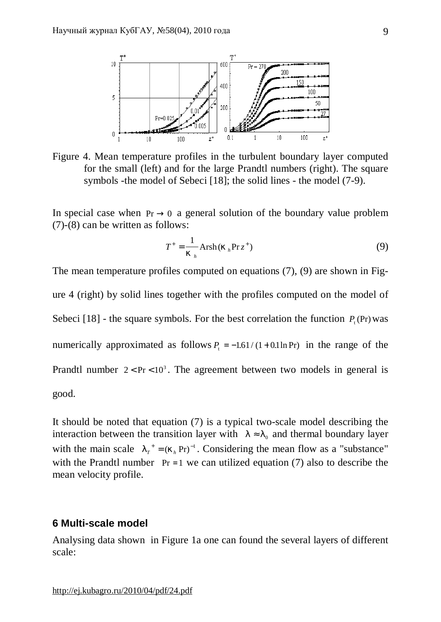

Figure 4. Mean temperature profiles in the turbulent boundary layer computed for the small (left) and for the large Prandtl numbers (right). The square symbols -the model of Sebeci [18]; the solid lines - the model (7-9).

In special case when  $Pr \rightarrow 0$  a general solution of the boundary value problem (7)-(8) can be written as follows:

$$
T^{+} = \frac{1}{k_{h}} \operatorname{Arsh}(k_{h} \operatorname{Pr} z^{+})
$$
 (9)

The mean temperature profiles computed on equations (7), (9) are shown in Figure 4 (right) by solid lines together with the profiles computed on the model of Sebeci [18] - the square symbols. For the best correlation the function  $P_t$  (Pr) was numerically approximated as follows  $P_t = -1.61/(1+0.1 \ln Pr)$  in the range of the Prandtl number  $2 < Pr < 10<sup>3</sup>$ . The agreement between two models in general is good.

It should be noted that equation (7) is a typical two-scale model describing the interaction between the transition layer with  $l \approx l_0$  and thermal boundary layer with the main scale  $I_T^+ = (k_h \text{Pr})^{-1}$ . Considering the mean flow as a "substance" with the Prandtl number  $Pr = 1$  we can utilized equation (7) also to describe the mean velocity profile.

### **6 Multi-scale model**

Analysing data shown in Figure 1a one can found the several layers of different scale: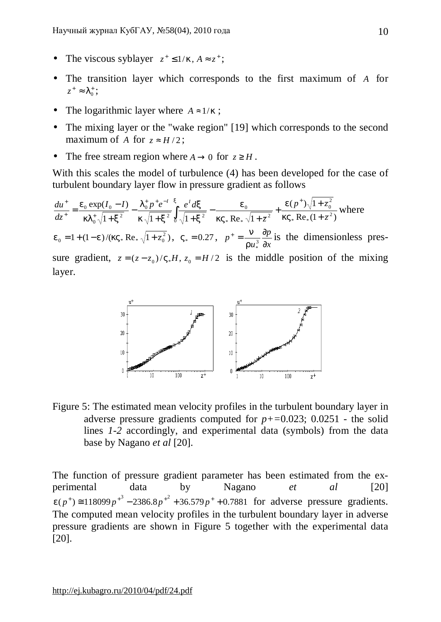- The viscous syblayer  $z^+ \leq 1/k$ ,  $A \approx z^+$ ;
- The transition layer which corresponds to the first maximum of *A* for  $z^* \approx I_0^*$ ;
- The logarithmic layer where  $A \approx 1/k$ ;
- The mixing layer or the "wake region" [19] which corresponds to the second maximum of *A* for  $z \approx H/2$ ;
- The free stream region where  $A \rightarrow 0$  for  $z \ge H$ .

With this scales the model of turbulence (4) has been developed for the case of turbulent boundary layer flow in pressure gradient as follows

 $Re_*(1 + \overline{z}^2)$  $(p^{\pm})\sqrt{1}$  $1 + x^2$   $k \sqrt{1 + x^2} \sqrt[3]{1 + x^2}$   $kV_* \text{Re}_* \sqrt{1}$  $\exp(I_0 - I)$ 2  $*$  IV $\mathcal{L}_*$ 2 0 2  $*$  IVV $*$ 0 <sup>2</sup>  $\frac{J}{0}$   $\sqrt{1+x^2}$ 0 2 0  $_{0}$   $\alpha$ p $\alpha$ <sub>0</sub> *z*  $p^{\text{+}}\rangle\sqrt{1+\bar{z}}$ *z*  $I_0 - I$ )  $I_0^+ p^+ e^{-I} \int_0^x e^I d$ *dz*  $du^{+}$  *e*<sub>0</sub> exp(I<sub>0</sub> - I)  $I_{0}^{+}p^{+}e^{-I}$   $\uparrow$ <sup>*r*</sup>  $e^{I}$ + + + + −  $+x^2$   $\frac{J}{0}$   $\sqrt{1}$  + − + − =  $+\mathbf{n} + \mathbf{e}^{-l} X \quad l \text{ } l \text{ } \mathbf{f}$  $+$   $\mathbf{l} \cdot \mathbf{l}$  + +  $\int_{0}^{1} \frac{e^{u} dx}{\sqrt{1+x^2}} - \frac{c_0}{kV}$ *e kV e x x*  $k\sqrt{1+x}$ *l*  $k l_0^* \sqrt{1+x}$  $e_0 \exp(I_0 - I) = I_0^+ p^+ e^{-I}$ where *p*

 $1 + (1 - e)/(kV_* \text{Re}_*)/1 + \bar{z}_0^2$ )  $e_0 = 1 + (1 - e)/(kV_* \text{ Re}_*)^2 + \bar{z}_0^2, \quad V_* = 0.27, \quad p^+ = \frac{H}{r u_*^3} \frac{dp}{dx}$ *u p* ∂  $=\frac{n}{a}$   $\frac{\partial}{\partial}$  $ru_*^3$  $\frac{n}{\sqrt{2}}\frac{\partial p}{\partial \rho}$  is the dimensionless pres-

sure gradient,  $\bar{z} = (z - z_0) / V_* H$ ,  $z_0 = H/2$  is the middle position of the mixing layer.



Figure 5: The estimated mean velocity profiles in the turbulent boundary layer in adverse pressure gradients computed for *p+=*0.023; 0.0251 - the solid lines *1-2* accordingly, and experimental data (symbols) from the data base by Nagano *et al* [20].

The function of pressure gradient parameter has been estimated from the experimental data by Nagano *et al* [20]  $e(p^+) \approx 118099 p^{+3} - 2386.8 p^{+2} + 36.579 p^+ + 0.7881$  for adverse pressure gradients. The computed mean velocity profiles in the turbulent boundary layer in adverse pressure gradients are shown in Figure 5 together with the experimental data [20].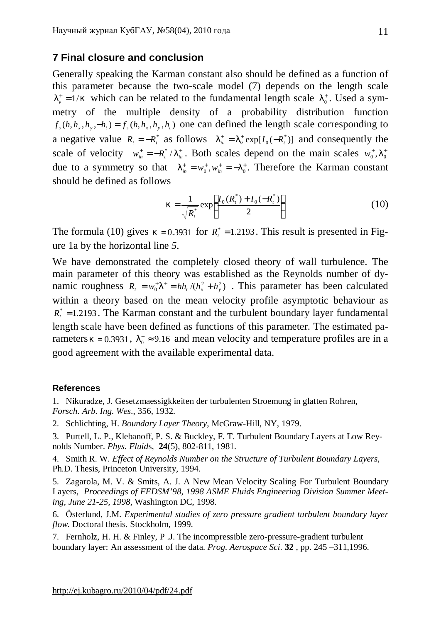### **7 Final closure and conclusion**

Generally speaking the Karman constant also should be defined as a function of this parameter because the two-scale model (7) depends on the length scale  $l_{\nu}^+ = 1/k$  which can be related to the fundamental length scale  $l_0^+$ . Used a symmetry of the multiple density of a probability distribution function  $f_s(h, h_x, h_y, -h_t) = f_s(h, h_x, h_y, h_t)$  one can defined the length scale corresponding to a negative value  $R_t = -R_t^*$  as follows  $I_{in}^+ = I_n^+ \exp[I_0(-R_t^*)]$  and consequently the scale of velocity  $w_{in}^{+} = -R_t^* / I_{in}^*$ . Both scales depend on the main scales  $w_0^*$ ,  $I_0^*$ due to a symmetry so that  $I_{in}^{+} = w_0^{+}, w_{in}^{+} = -I_0^{+}$ . Therefore the Karman constant should be defined as follows

$$
k = \frac{1}{\sqrt{R_i^*}} \exp\left[\frac{I_0(R_i^*) + I_0(-R_i^*)}{2}\right]
$$
 (10)

The formula (10) gives  $k = 0.3931$  for  $R_t^* = 1.2193$ . This result is presented in Figure 1a by the horizontal line *5*.

We have demonstrated the completely closed theory of wall turbulence. The main parameter of this theory was established as the Reynolds number of dynamic roughness  $R_t = w_0^+ I^+ = h h_t / (h_x^2 + h_y^2)$ . This parameter has been calculated within a theory based on the mean velocity profile asymptotic behaviour as  $R_t^* = 1.2193$ . The Karman constant and the turbulent boundary layer fundamental length scale have been defined as functions of this parameter. The estimated parameters  $k = 0.3931$ ,  $l_0^* \approx 9.16$  and mean velocity and temperature profiles are in a good agreement with the available experimental data.

#### **References**

1. Nikuradze, J. Gesetzmaessigkkeiten der turbulenten Stroemung in glatten Rohren,

- *Forsch. Arb. Ing. Wes*., 356, 1932.
- 2. Schlichting, H. *Boundary Layer Theory*, McGraw-Hill, NY, 1979.
- 3. Purtell, L. P., Klebanoff, P. S. & Buckley, F. T. Turbulent Boundary Layers at Low Reynolds Number. *Phys. Fluid*s, **24**(5), 802-811, 1981.

4. Smith R. W. *Effect of Reynolds Number on the Structure of Turbulent Boundary Layers*, Ph.D. Thesis, Princeton University, 1994.

5. Zagarola, M. V. & Smits, A. J. A New Mean Velocity Scaling For Turbulent Boundary Layers, *Proceedings of FEDSM'98, 1998 ASME Fluids Engineering Division Summer Meeting, June 21-25, 1998*, Washington DC, 1998.

6. Österlund, J.M. *Experimental studies of zero pressure gradient turbulent boundary layer flow*. Doctoral thesis. Stockholm, 1999.

7. Fernholz, H. H. & Finley, P .J. The incompressible zero-pressure-gradient turbulent boundary layer: An assessment of the data. *Prog. Aerospace Sci*. **32** , pp. 245 –311,1996.